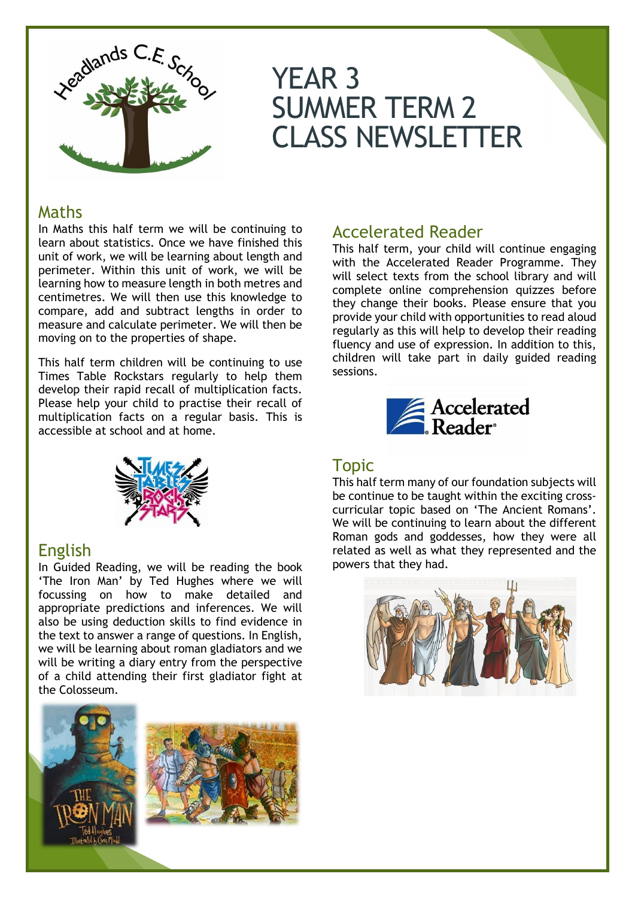

# YEAR 3 SUMMER TERM 2 CLASS NEWSLETTER

## Maths

In Maths this half term we will be continuing to learn about statistics. Once we have finished this unit of work, we will be learning about length and perimeter. Within this unit of work, we will be learning how to measure length in both metres and centimetres. We will then use this knowledge to compare, add and subtract lengths in order to measure and calculate perimeter. We will then be moving on to the properties of shape.

This half term children will be continuing to use Times Table Rockstars regularly to help them develop their rapid recall of multiplication facts. Please help your child to practise their recall of multiplication facts on a regular basis. This is accessible at school and at home.



## English

In Guided Reading, we will be reading the book 'The Iron Man' by Ted Hughes where we will focussing on how to make detailed and appropriate predictions and inferences. We will also be using deduction skills to find evidence in the text to answer a range of questions. In English, we will be learning about roman gladiators and we will be writing a diary entry from the perspective of a child attending their first gladiator fight at the Colosseum.



## Accelerated Reader

This half term, your child will continue engaging with the Accelerated Reader Programme. They will select texts from the school library and will complete online comprehension quizzes before they change their books. Please ensure that you provide your child with opportunities to read aloud regularly as this will help to develop their reading fluency and use of expression. In addition to this, children will take part in daily guided reading sessions.



## Topic

This half term many of our foundation subjects will be continue to be taught within the exciting crosscurricular topic based on 'The Ancient Romans'. We will be continuing to learn about the different Roman gods and goddesses, how they were all related as well as what they represented and the powers that they had.